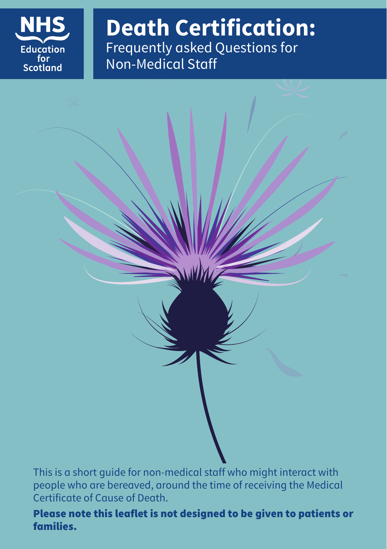

**Death Certification:** Frequently asked Questions for Non-Medical Staff

This is a short guide for non-medical staff who might interact with people who are bereaved, around the time of receiving the Medical Certificate of Cause of Death.

Please note this leaflet is not designed to be given to patients or families.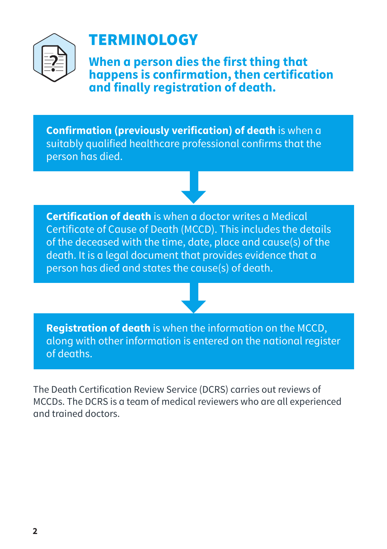

### **TERMINOLOGY**

**When a person dies the first thing that happens is confirmation, then certification and finally registration of death.**

**Confirmation (previously verification) of death** is when a suitably qualified healthcare professional confirms that the person has died.

**Certification of death** is when a doctor writes a Medical Certificate of Cause of Death (MCCD). This includes the details of the deceased with the time, date, place and cause(s) of the death. It is a legal document that provides evidence that a person has died and states the cause(s) of death.

**Registration of death** is when the information on the MCCD, along with other information is entered on the national register of deaths.

The Death Certification Review Service (DCRS) carries out reviews of MCCDs. The DCRS is a team of medical reviewers who are all experienced and trained doctors.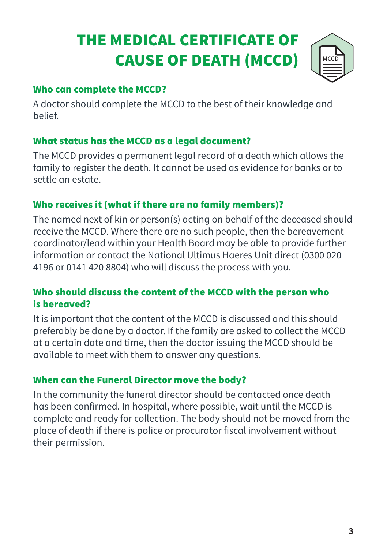## THE MEDICAL CERTIFICATE OF CAUSE OF DEATH (MCCD)



### Who can complete the MCCD?

A doctor should complete the MCCD to the best of their knowledge and belief.

### What status has the MCCD as a legal document?

The MCCD provides a permanent legal record of a death which allows the family to register the death. It cannot be used as evidence for banks or to settle an estate.

### Who receives it (what if there are no family members)?

The named next of kin or person(s) acting on behalf of the deceased should receive the MCCD. Where there are no such people, then the bereavement coordinator/lead within your Health Board may be able to provide further information or contact the National Ultimus Haeres Unit direct (0300 020 4196 or 0141 420 8804) who will discuss the process with you.

### Who should discuss the content of the MCCD with the person who is bereaved?

It is important that the content of the MCCD is discussed and this should preferably be done by a doctor. If the family are asked to collect the MCCD at a certain date and time, then the doctor issuing the MCCD should be available to meet with them to answer any questions.

### When can the Funeral Director move the body?

In the community the funeral director should be contacted once death has been confirmed. In hospital, where possible, wait until the MCCD is complete and ready for collection. The body should not be moved from the place of death if there is police or procurator fiscal involvement without their permission.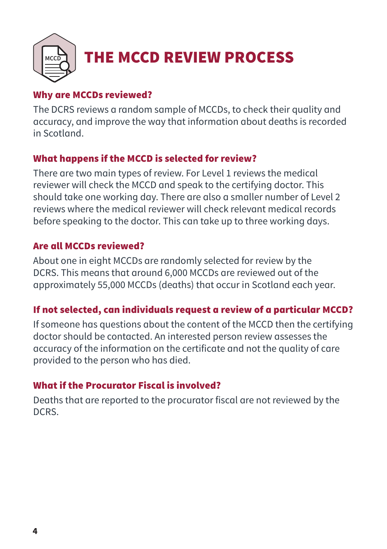

## THE MCCD REVIEW PROCESS

### Why are MCCDs reviewed?

The DCRS reviews a random sample of MCCDs, to check their quality and accuracy, and improve the way that information about deaths is recorded in Scotland.

### What happens if the MCCD is selected for review?

There are two main types of review. For Level 1 reviews the medical reviewer will check the MCCD and speak to the certifying doctor. This should take one working day. There are also a smaller number of Level 2 reviews where the medical reviewer will check relevant medical records before speaking to the doctor. This can take up to three working days.

### Are all MCCDs reviewed?

About one in eight MCCDs are randomly selected for review by the DCRS. This means that around 6,000 MCCDs are reviewed out of the approximately 55,000 MCCDs (deaths) that occur in Scotland each year.

### If not selected, can individuals request a review of a particular MCCD?

If someone has questions about the content of the MCCD then the certifying doctor should be contacted. An interested person review assesses the accuracy of the information on the certificate and not the quality of care provided to the person who has died.

### What if the Procurator Fiscal is involved?

Deaths that are reported to the procurator fiscal are not reviewed by the DCRS.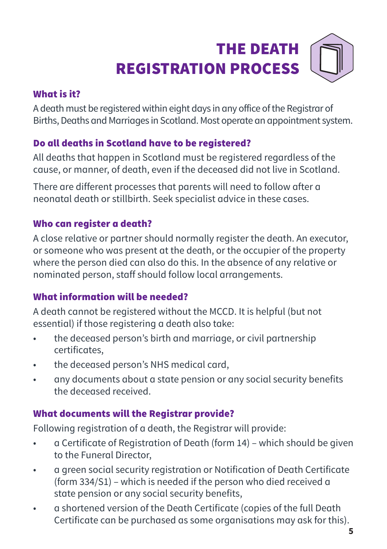# THE DEATH REGISTRATION PROCESS

### What is it?

A death must be registered within eight days in any office of the Registrar of Births, Deaths and Marriages in Scotland. Most operate an appointment system.

### Do all deaths in Scotland have to be registered?

All deaths that happen in Scotland must be registered regardless of the cause, or manner, of death, even if the deceased did not live in Scotland.

There are different processes that parents will need to follow after a neonatal death or stillbirth. Seek specialist advice in these cases.

### Who can register a death?

A close relative or partner should normally register the death. An executor, or someone who was present at the death, or the occupier of the property where the person died can also do this. In the absence of any relative or nominated person, staff should follow local arrangements.

### What information will be needed?

A death cannot be registered without the MCCD. It is helpful (but not essential) if those registering a death also take:

- the deceased person's birth and marriage, or civil partnership certificates,
- the deceased person's NHS medical card,
- any documents about a state pension or any social security benefits the deceased received.

### What documents will the Registrar provide?

Following registration of a death, the Registrar will provide:

- a Certificate of Registration of Death (form 14) which should be given to the Funeral Director,
- a green social security registration or Notification of Death Certificate (form 334/S1) – which is needed if the person who died received a state pension or any social security benefits,
- a shortened version of the Death Certificate (copies of the full Death Certificate can be purchased as some organisations may ask for this).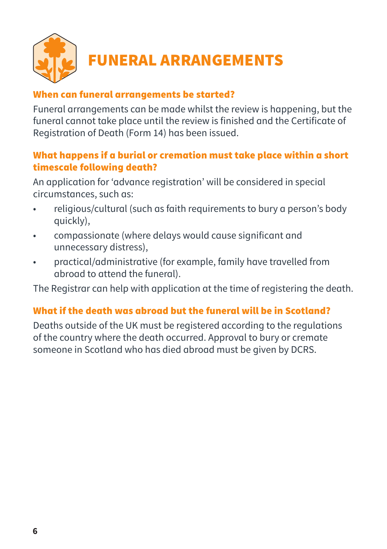

### When can funeral arrangements be started?

Funeral arrangements can be made whilst the review is happening, but the funeral cannot take place until the review is finished and the Certificate of Registration of Death (Form 14) has been issued.

### What happens if a burial or cremation must take place within a short timescale following death?

An application for 'advance registration' will be considered in special circumstances, such as:

- religious/cultural (such as faith requirements to bury a person's body quickly),
- compassionate (where delays would cause significant and unnecessary distress),
- practical/administrative (for example, family have travelled from abroad to attend the funeral).

The Registrar can help with application at the time of registering the death.

### What if the death was abroad but the funeral will be in Scotland?

Deaths outside of the UK must be registered according to the regulations of the country where the death occurred. Approval to bury or cremate someone in Scotland who has died abroad must be given by DCRS.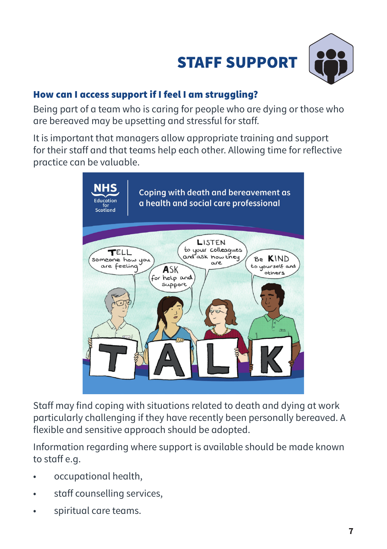



### How can I access support if I feel I am struggling?

Being part of a team who is caring for people who are dying or those who are bereaved may be upsetting and stressful for staff.

It is important that managers allow appropriate training and support for their staff and that teams help each other. Allowing time for reflective practice can be valuable.



Staff may find coping with situations related to death and dying at work particularly challenging if they have recently been personally bereaved. A flexible and sensitive approach should be adopted.

Information regarding where support is available should be made known to staff e.g.

- occupational health,
- staff counselling services,
- spiritual care teams.